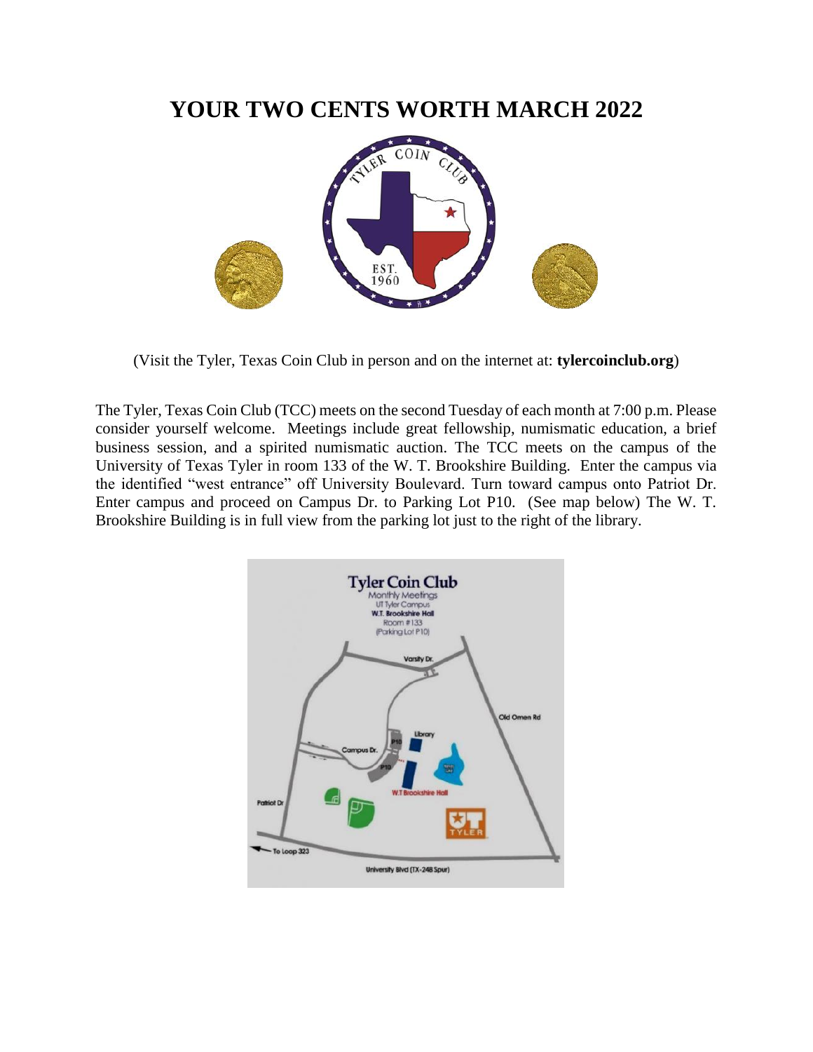# **YOUR TWO CENTS WORTH MARCH 2022**



(Visit the Tyler, Texas Coin Club in person and on the internet at: **tylercoinclub.org**)

The Tyler, Texas Coin Club (TCC) meets on the second Tuesday of each month at 7:00 p.m. Please consider yourself welcome. Meetings include great fellowship, numismatic education, a brief business session, and a spirited numismatic auction. The TCC meets on the campus of the University of Texas Tyler in room 133 of the W. T. Brookshire Building. Enter the campus via the identified "west entrance" off University Boulevard. Turn toward campus onto Patriot Dr. Enter campus and proceed on Campus Dr. to Parking Lot P10. (See map below) The W. T. Brookshire Building is in full view from the parking lot just to the right of the library.

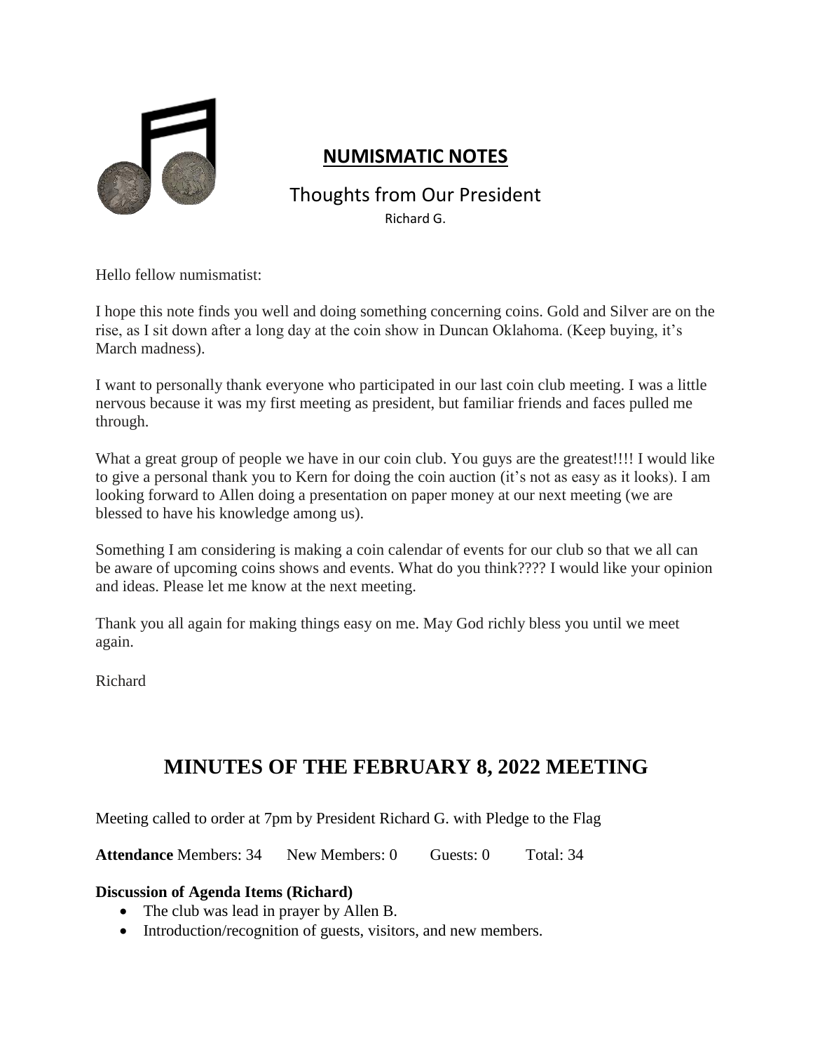

## **NUMISMATIC NOTES**

## Thoughts from Our President Richard G.

Hello fellow numismatist:

I hope this note finds you well and doing something concerning coins. Gold and Silver are on the rise, as I sit down after a long day at the coin show in Duncan Oklahoma. (Keep buying, it's March madness).

I want to personally thank everyone who participated in our last coin club meeting. I was a little nervous because it was my first meeting as president, but familiar friends and faces pulled me through.

What a great group of people we have in our coin club. You guys are the greatest!!!! I would like to give a personal thank you to Kern for doing the coin auction (it's not as easy as it looks). I am looking forward to Allen doing a presentation on paper money at our next meeting (we are blessed to have his knowledge among us).

Something I am considering is making a coin calendar of events for our club so that we all can be aware of upcoming coins shows and events. What do you think???? I would like your opinion and ideas. Please let me know at the next meeting.

Thank you all again for making things easy on me. May God richly bless you until we meet again.

Richard

# **MINUTES OF THE FEBRUARY 8, 2022 MEETING**

Meeting called to order at 7pm by President Richard G. with Pledge to the Flag

**Attendance Members: 34 New Members: 0 Guests: 0 Total: 34** 

#### **Discussion of Agenda Items (Richard)**

- The club was lead in prayer by Allen B.
- Introduction/recognition of guests, visitors, and new members.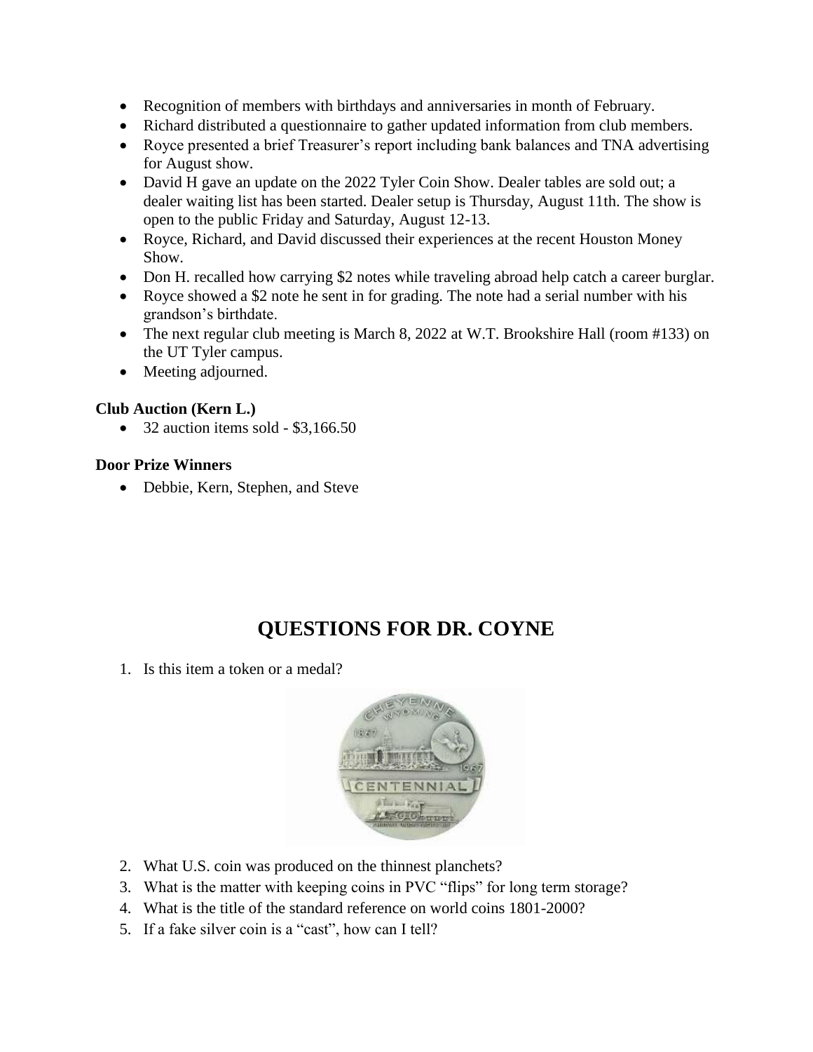- Recognition of members with birthdays and anniversaries in month of February.
- Richard distributed a questionnaire to gather updated information from club members.
- Royce presented a brief Treasurer's report including bank balances and TNA advertising for August show.
- David H gave an update on the 2022 Tyler Coin Show. Dealer tables are sold out; a dealer waiting list has been started. Dealer setup is Thursday, August 11th. The show is open to the public Friday and Saturday, August 12-13.
- Royce, Richard, and David discussed their experiences at the recent Houston Money Show.
- Don H. recalled how carrying \$2 notes while traveling abroad help catch a career burglar.
- Royce showed a \$2 note he sent in for grading. The note had a serial number with his grandson's birthdate.
- The next regular club meeting is March 8, 2022 at W.T. Brookshire Hall (room #133) on the UT Tyler campus.
- Meeting adjourned.

## **Club Auction (Kern L.)**

 $\bullet$  32 auction items sold - \$3,166.50

## **Door Prize Winners**

• Debbie, Kern, Stephen, and Steve

# **QUESTIONS FOR DR. COYNE**

1. Is this item a token or a medal?



- 2. What U.S. coin was produced on the thinnest planchets?
- 3. What is the matter with keeping coins in PVC "flips" for long term storage?
- 4. What is the title of the standard reference on world coins 1801-2000?
- 5. If a fake silver coin is a "cast", how can I tell?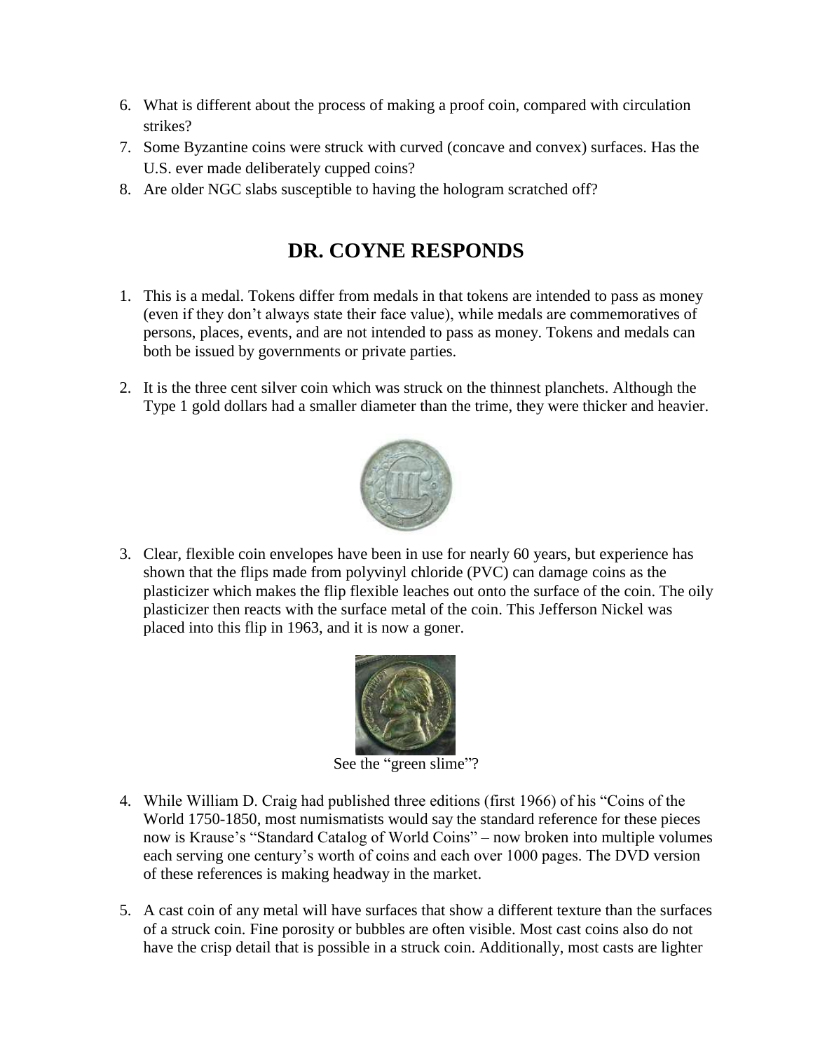- 6. What is different about the process of making a proof coin, compared with circulation strikes?
- 7. Some Byzantine coins were struck with curved (concave and convex) surfaces. Has the U.S. ever made deliberately cupped coins?
- 8. Are older NGC slabs susceptible to having the hologram scratched off?

# **DR. COYNE RESPONDS**

- 1. This is a medal. Tokens differ from medals in that tokens are intended to pass as money (even if they don't always state their face value), while medals are commemoratives of persons, places, events, and are not intended to pass as money. Tokens and medals can both be issued by governments or private parties.
- 2. It is the three cent silver coin which was struck on the thinnest planchets. Although the Type 1 gold dollars had a smaller diameter than the trime, they were thicker and heavier.



3. Clear, flexible coin envelopes have been in use for nearly 60 years, but experience has shown that the flips made from polyvinyl chloride (PVC) can damage coins as the plasticizer which makes the flip flexible leaches out onto the surface of the coin. The oily plasticizer then reacts with the surface metal of the coin. This Jefferson Nickel was placed into this flip in 1963, and it is now a goner.



See the "green slime"?

- 4. While William D. Craig had published three editions (first 1966) of his "Coins of the World 1750-1850, most numismatists would say the standard reference for these pieces now is Krause's "Standard Catalog of World Coins" – now broken into multiple volumes each serving one century's worth of coins and each over 1000 pages. The DVD version of these references is making headway in the market.
- 5. A cast coin of any metal will have surfaces that show a different texture than the surfaces of a struck coin. Fine porosity or bubbles are often visible. Most cast coins also do not have the crisp detail that is possible in a struck coin. Additionally, most casts are lighter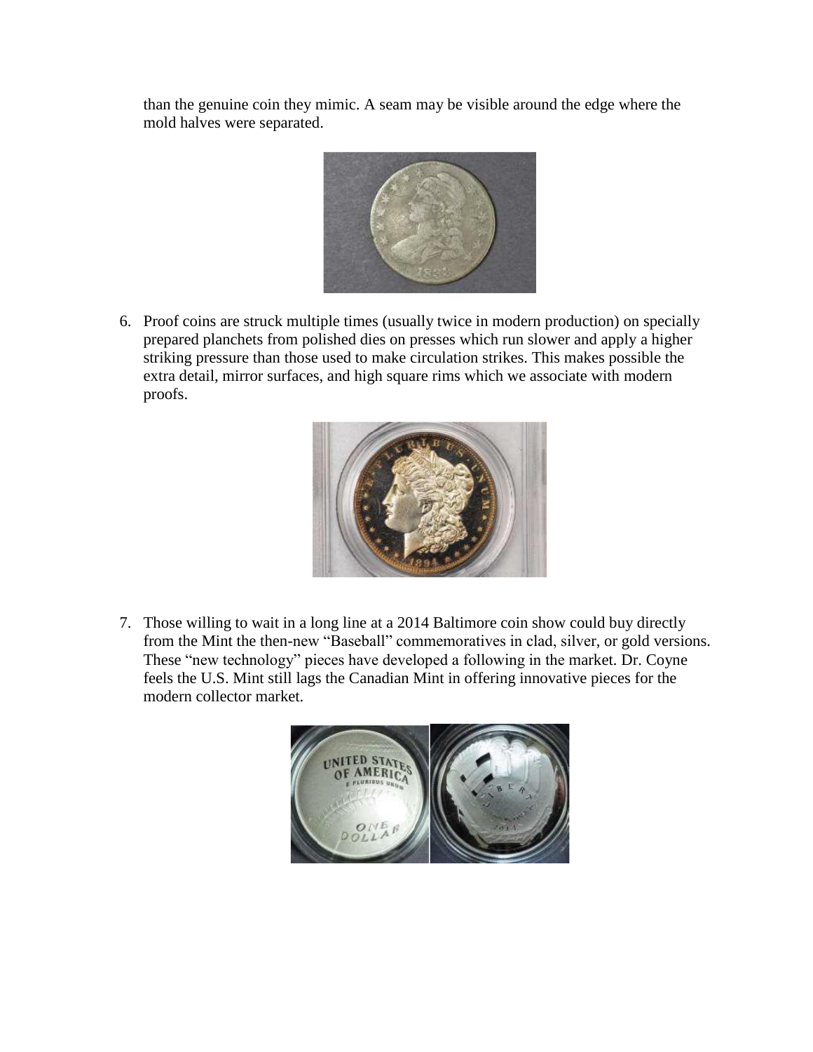than the genuine coin they mimic. A seam may be visible around the edge where the mold halves were separated.



6. Proof coins are struck multiple times (usually twice in modern production) on specially prepared planchets from polished dies on presses which run slower and apply a higher striking pressure than those used to make circulation strikes. This makes possible the extra detail, mirror surfaces, and high square rims which we associate with modern proofs.



7. Those willing to wait in a long line at a 2014 Baltimore coin show could buy directly from the Mint the then-new "Baseball" commemoratives in clad, silver, or gold versions. These "new technology" pieces have developed a following in the market. Dr. Coyne feels the U.S. Mint still lags the Canadian Mint in offering innovative pieces for the modern collector market.

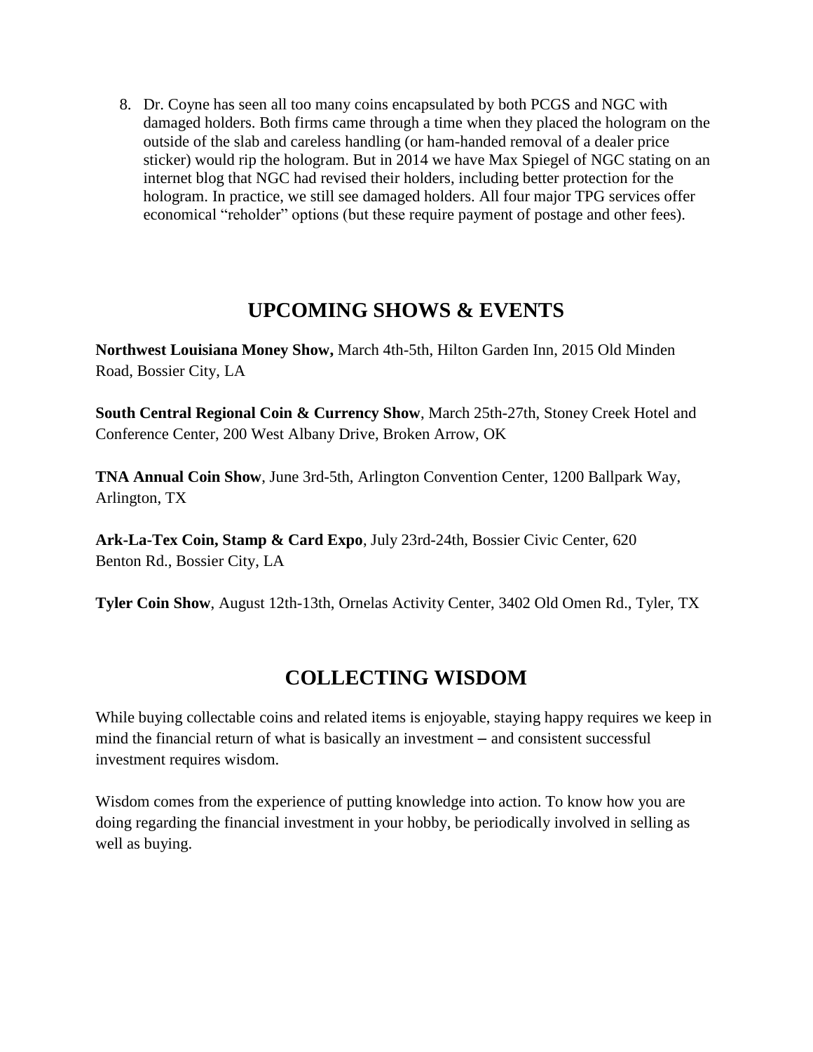8. Dr. Coyne has seen all too many coins encapsulated by both PCGS and NGC with damaged holders. Both firms came through a time when they placed the hologram on the outside of the slab and careless handling (or ham-handed removal of a dealer price sticker) would rip the hologram. But in 2014 we have Max Spiegel of NGC stating on an internet blog that NGC had revised their holders, including better protection for the hologram. In practice, we still see damaged holders. All four major TPG services offer economical "reholder" options (but these require payment of postage and other fees).

## **UPCOMING SHOWS & EVENTS**

**Northwest Louisiana Money Show,** March 4th-5th, Hilton Garden Inn, 2015 Old Minden Road, Bossier City, LA

**South Central Regional Coin & Currency Show**, March 25th-27th, Stoney Creek Hotel and Conference Center, 200 West Albany Drive, Broken Arrow, OK

**TNA Annual Coin Show**, June 3rd-5th, Arlington Convention Center, 1200 Ballpark Way, Arlington, TX

**Ark-La-Tex Coin, Stamp & Card Expo**, July 23rd-24th, Bossier Civic Center, 620 Benton Rd., Bossier City, LA

**Tyler Coin Show**, August 12th-13th, Ornelas Activity Center, 3402 Old Omen Rd., Tyler, TX

# **COLLECTING WISDOM**

While buying collectable coins and related items is enjoyable, staying happy requires we keep in mind the financial return of what is basically an investment – and consistent successful investment requires wisdom.

Wisdom comes from the experience of putting knowledge into action. To know how you are doing regarding the financial investment in your hobby, be periodically involved in selling as well as buying.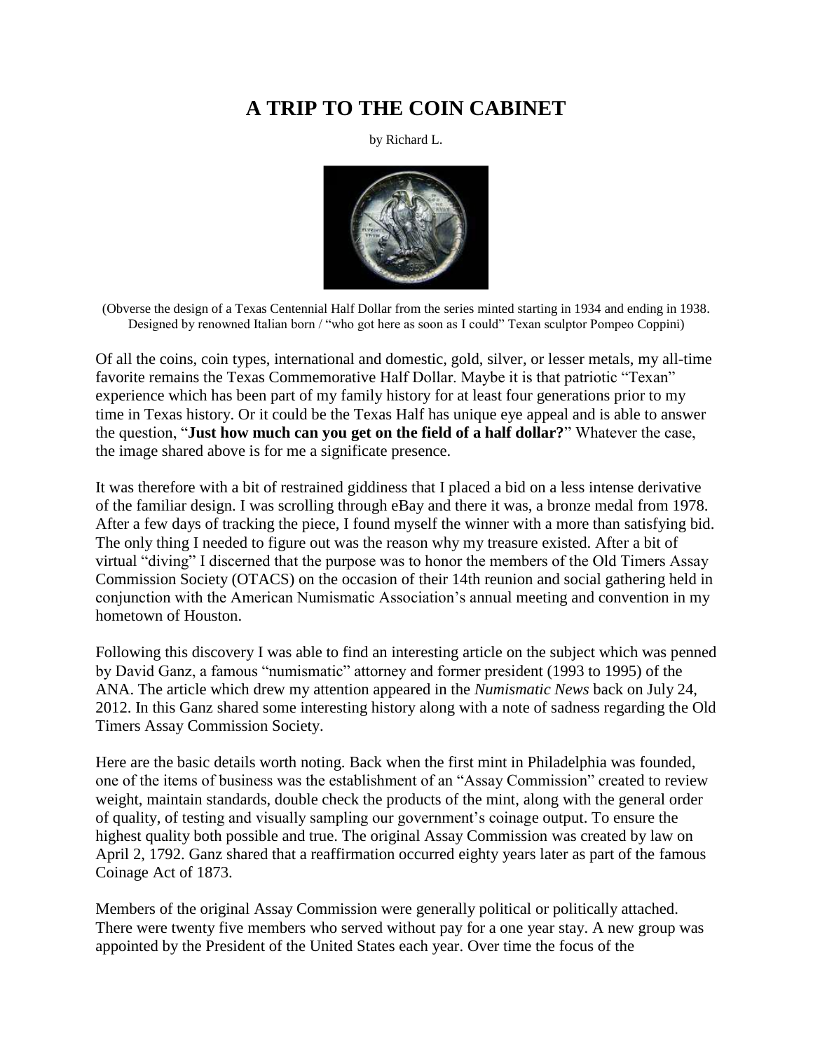# **A TRIP TO THE COIN CABINET**

by Richard L.



(Obverse the design of a Texas Centennial Half Dollar from the series minted starting in 1934 and ending in 1938. Designed by renowned Italian born / "who got here as soon as I could" Texan sculptor Pompeo Coppini)

Of all the coins, coin types, international and domestic, gold, silver, or lesser metals, my all-time favorite remains the Texas Commemorative Half Dollar. Maybe it is that patriotic "Texan" experience which has been part of my family history for at least four generations prior to my time in Texas history. Or it could be the Texas Half has unique eye appeal and is able to answer the question, "**Just how much can you get on the field of a half dollar?**" Whatever the case, the image shared above is for me a significate presence.

It was therefore with a bit of restrained giddiness that I placed a bid on a less intense derivative of the familiar design. I was scrolling through eBay and there it was, a bronze medal from 1978. After a few days of tracking the piece, I found myself the winner with a more than satisfying bid. The only thing I needed to figure out was the reason why my treasure existed. After a bit of virtual "diving" I discerned that the purpose was to honor the members of the Old Timers Assay Commission Society (OTACS) on the occasion of their 14th reunion and social gathering held in conjunction with the American Numismatic Association's annual meeting and convention in my hometown of Houston.

Following this discovery I was able to find an interesting article on the subject which was penned by David Ganz, a famous "numismatic" attorney and former president (1993 to 1995) of the ANA. The article which drew my attention appeared in the *Numismatic News* back on July 24, 2012. In this Ganz shared some interesting history along with a note of sadness regarding the Old Timers Assay Commission Society.

Here are the basic details worth noting. Back when the first mint in Philadelphia was founded, one of the items of business was the establishment of an "Assay Commission" created to review weight, maintain standards, double check the products of the mint, along with the general order of quality, of testing and visually sampling our government's coinage output. To ensure the highest quality both possible and true. The original Assay Commission was created by law on April 2, 1792. Ganz shared that a reaffirmation occurred eighty years later as part of the famous Coinage Act of 1873.

Members of the original Assay Commission were generally political or politically attached. There were twenty five members who served without pay for a one year stay. A new group was appointed by the President of the United States each year. Over time the focus of the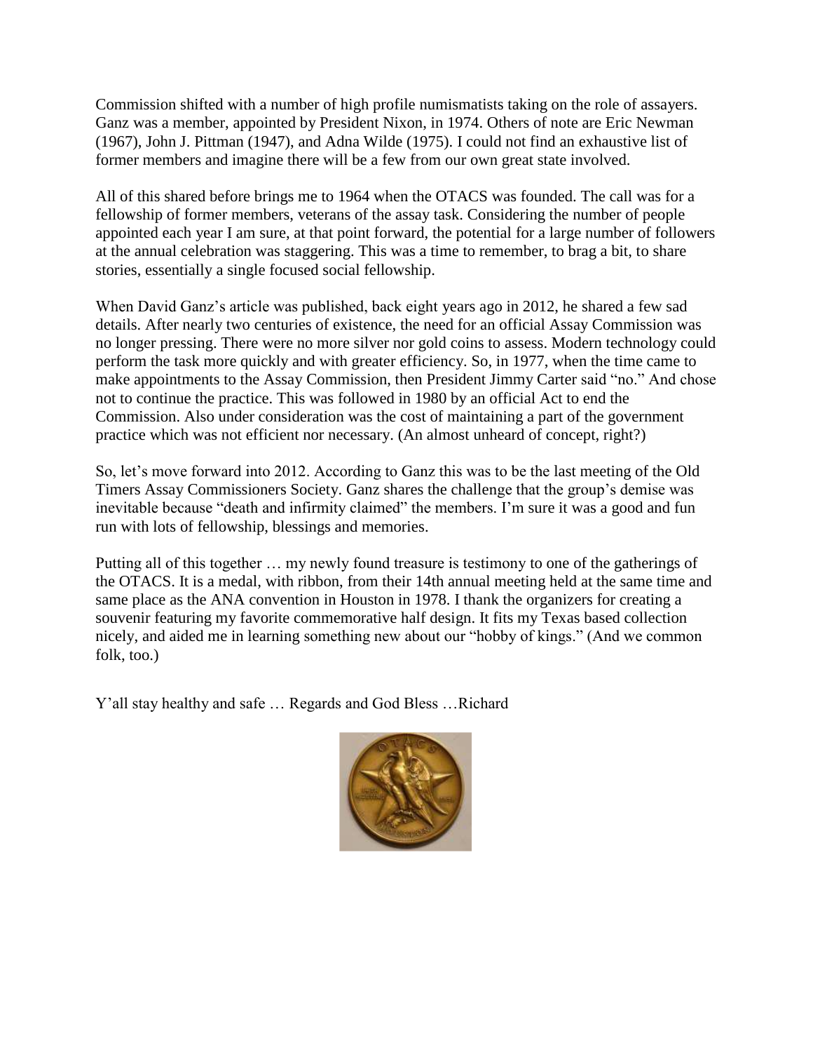Commission shifted with a number of high profile numismatists taking on the role of assayers. Ganz was a member, appointed by President Nixon, in 1974. Others of note are Eric Newman (1967), John J. Pittman (1947), and Adna Wilde (1975). I could not find an exhaustive list of former members and imagine there will be a few from our own great state involved.

All of this shared before brings me to 1964 when the OTACS was founded. The call was for a fellowship of former members, veterans of the assay task. Considering the number of people appointed each year I am sure, at that point forward, the potential for a large number of followers at the annual celebration was staggering. This was a time to remember, to brag a bit, to share stories, essentially a single focused social fellowship.

When David Ganz's article was published, back eight years ago in 2012, he shared a few sad details. After nearly two centuries of existence, the need for an official Assay Commission was no longer pressing. There were no more silver nor gold coins to assess. Modern technology could perform the task more quickly and with greater efficiency. So, in 1977, when the time came to make appointments to the Assay Commission, then President Jimmy Carter said "no." And chose not to continue the practice. This was followed in 1980 by an official Act to end the Commission. Also under consideration was the cost of maintaining a part of the government practice which was not efficient nor necessary. (An almost unheard of concept, right?)

So, let's move forward into 2012. According to Ganz this was to be the last meeting of the Old Timers Assay Commissioners Society. Ganz shares the challenge that the group's demise was inevitable because "death and infirmity claimed" the members. I'm sure it was a good and fun run with lots of fellowship, blessings and memories.

Putting all of this together … my newly found treasure is testimony to one of the gatherings of the OTACS. It is a medal, with ribbon, from their 14th annual meeting held at the same time and same place as the ANA convention in Houston in 1978. I thank the organizers for creating a souvenir featuring my favorite commemorative half design. It fits my Texas based collection nicely, and aided me in learning something new about our "hobby of kings." (And we common folk, too.)

Y'all stay healthy and safe … Regards and God Bless …Richard